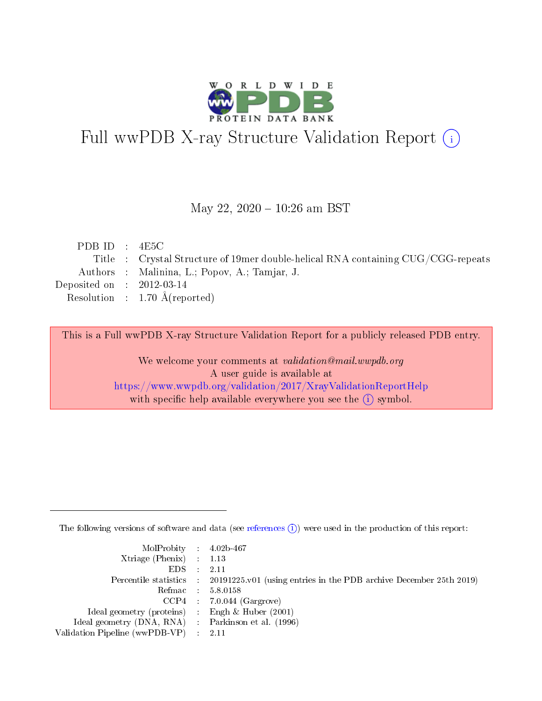

# Full wwPDB X-ray Structure Validation Report (i)

#### May 22, 2020 - 10:26 am BST

| PDB ID : $4E5C$             |                                                                                   |
|-----------------------------|-----------------------------------------------------------------------------------|
|                             | Title : Crystal Structure of 19 mer double-helical RNA containing CUG/CGG-repeats |
|                             | Authors : Malinina, L.; Popov, A.; Tamjar, J.                                     |
| Deposited on : $2012-03-14$ |                                                                                   |
|                             | Resolution : $1.70 \text{ Å}$ (reported)                                          |
|                             |                                                                                   |

This is a Full wwPDB X-ray Structure Validation Report for a publicly released PDB entry.

We welcome your comments at validation@mail.wwpdb.org A user guide is available at <https://www.wwpdb.org/validation/2017/XrayValidationReportHelp> with specific help available everywhere you see the  $(i)$  symbol.

The following versions of software and data (see [references](https://www.wwpdb.org/validation/2017/XrayValidationReportHelp#references)  $(i)$ ) were used in the production of this report:

| MolProbity : $4.02b-467$                           |                                                                                            |
|----------------------------------------------------|--------------------------------------------------------------------------------------------|
| $Xtriangle (Phenix)$ : 1.13                        |                                                                                            |
| EDS :                                              | -2.11                                                                                      |
|                                                    | Percentile statistics : 20191225.v01 (using entries in the PDB archive December 25th 2019) |
|                                                    | Refmac 5.8.0158                                                                            |
|                                                    | $CCP4$ : 7.0.044 (Gargrove)                                                                |
| Ideal geometry (proteins) : Engh $\&$ Huber (2001) |                                                                                            |
| Ideal geometry (DNA, RNA) Parkinson et al. (1996)  |                                                                                            |
| Validation Pipeline (wwPDB-VP) : 2.11              |                                                                                            |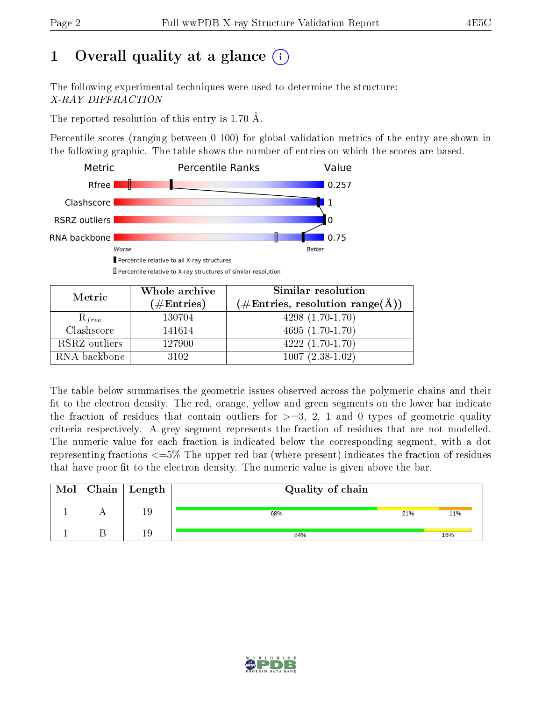# 1 [O](https://www.wwpdb.org/validation/2017/XrayValidationReportHelp#overall_quality)verall quality at a glance  $(i)$

The following experimental techniques were used to determine the structure: X-RAY DIFFRACTION

The reported resolution of this entry is 1.70 Å.

Percentile scores (ranging between 0-100) for global validation metrics of the entry are shown in the following graphic. The table shows the number of entries on which the scores are based.



Percentile relative to X-ray structures of similar resolution

| Metric        | Whole archive        | Similar resolution                                                  |  |  |  |  |
|---------------|----------------------|---------------------------------------------------------------------|--|--|--|--|
|               | $(\#\text{Entries})$ | $(\# \text{Entries}, \text{ resolution } \text{range}(\text{\AA}))$ |  |  |  |  |
| $R_{free}$    | 130704               | $4298(1.70-1.70)$                                                   |  |  |  |  |
| Clashscore    | 141614               | $4695(1.70-1.70)$                                                   |  |  |  |  |
| RSRZ outliers | 127900               | $4222(1.70-1.70)$                                                   |  |  |  |  |
| RNA backbone  | 3102                 | $1007(2.38-1.02)$                                                   |  |  |  |  |

The table below summarises the geometric issues observed across the polymeric chains and their fit to the electron density. The red, orange, yellow and green segments on the lower bar indicate the fraction of residues that contain outliers for  $\geq=3$ , 2, 1 and 0 types of geometric quality criteria respectively. A grey segment represents the fraction of residues that are not modelled. The numeric value for each fraction is indicated below the corresponding segment, with a dot representing fractions  $\epsilon = 5\%$  The upper red bar (where present) indicates the fraction of residues that have poor fit to the electron density. The numeric value is given above the bar.

|  | $\text{Mol} \mid \text{Chain} \mid \text{Length}$ | Quality of chain |     |     |  |  |  |
|--|---------------------------------------------------|------------------|-----|-----|--|--|--|
|  | 19                                                | 68%              | 21% | 11% |  |  |  |
|  | $1\overset{c}{.}$                                 | 84%              |     | 16% |  |  |  |

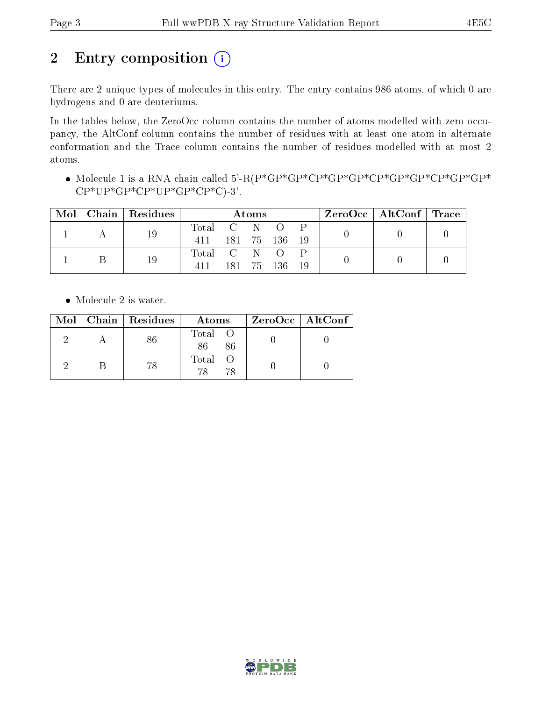# 2 Entry composition  $(i)$

There are 2 unique types of molecules in this entry. The entry contains 986 atoms, of which 0 are hydrogens and 0 are deuteriums.

In the tables below, the ZeroOcc column contains the number of atoms modelled with zero occupancy, the AltConf column contains the number of residues with at least one atom in alternate conformation and the Trace column contains the number of residues modelled with at most 2 atoms.

• Molecule 1 is a RNA chain called 5'-R(P\*GP\*GP\*CP\*GP\*GP\*GP\*GP\*GP\*GP\*GP\*GP\*  $CP*UP*GP*CP*CP*CP*CP*CP*CP*$ 

| Mol | Chain | Residues | Atoms       |            |  |            |  | $\rm{ZeroOcc}$   AltConf   Trace |  |
|-----|-------|----------|-------------|------------|--|------------|--|----------------------------------|--|
|     |       | 19       | Total C N O |            |  |            |  |                                  |  |
|     |       |          | 411         | 181 75 136 |  |            |  |                                  |  |
|     |       | 19       | Total C N O |            |  |            |  |                                  |  |
|     |       |          |             |            |  | 181 75 136 |  |                                  |  |

• Molecule 2 is water.

|  | Mol   Chain   Residues | Atoms               | $ZeroOcc \   \ AltConf \  $ |
|--|------------------------|---------------------|-----------------------------|
|  |                        | Total O<br>86<br>86 |                             |
|  | 78                     | Total<br>78<br>78   |                             |

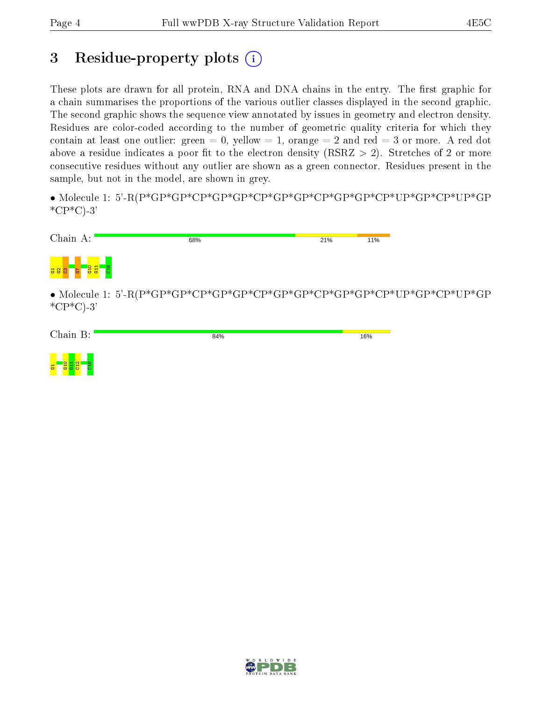## 3 Residue-property plots  $(i)$

These plots are drawn for all protein, RNA and DNA chains in the entry. The first graphic for a chain summarises the proportions of the various outlier classes displayed in the second graphic. The second graphic shows the sequence view annotated by issues in geometry and electron density. Residues are color-coded according to the number of geometric quality criteria for which they contain at least one outlier: green  $= 0$ , yellow  $= 1$ , orange  $= 2$  and red  $= 3$  or more. A red dot above a residue indicates a poor fit to the electron density (RSRZ  $> 2$ ). Stretches of 2 or more consecutive residues without any outlier are shown as a green connector. Residues present in the sample, but not in the model, are shown in grey.

• Molecule 1: 5'-R(P\*GP\*GP\*CP\*GP\*GP\*CP\*GP\*GP\*CP\*GP\*GP\*CP\*UP\*GP\*CP\*UP\*GP  $^*CP^*C$ -3'



 $*CP*C$ -3'

| Chain B:       | 84% | 16% |
|----------------|-----|-----|
| $\overline{5}$ |     |     |

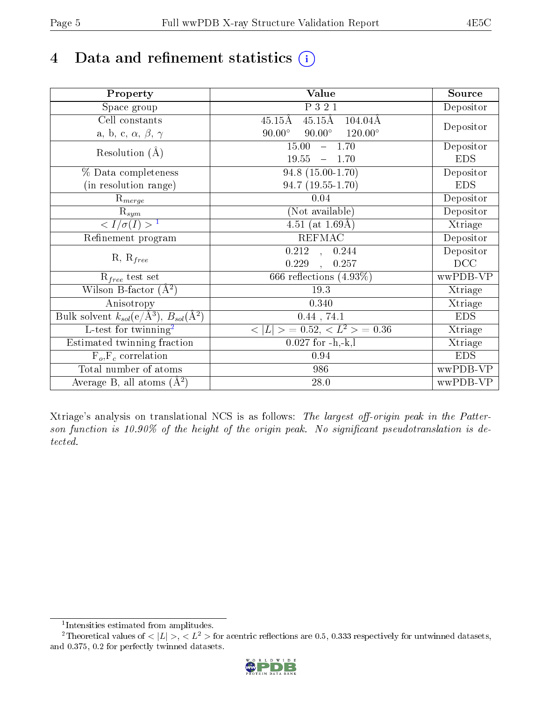# 4 Data and refinement statistics  $(i)$

| Property                                                             | <b>Value</b>                                                | Source     |
|----------------------------------------------------------------------|-------------------------------------------------------------|------------|
| Space group                                                          | P321                                                        | Depositor  |
| Cell constants                                                       | $45.15\text{\AA}$<br>$45.15{\rm \AA}$<br>$104.04\text{\AA}$ |            |
| a, b, c, $\alpha$ , $\beta$ , $\gamma$                               | $90.00^\circ$<br>$90.00^\circ$<br>$120.00^{\circ}$          | Depositor  |
| Resolution $(A)$                                                     | $-1.70$<br>15.00                                            | Depositor  |
|                                                                      | 19.55<br>$-1.70$                                            | <b>EDS</b> |
| % Data completeness                                                  | $94.8(15.00-1.70)$                                          | Depositor  |
| (in resolution range)                                                | $94.7(19.55-1.70)$                                          | <b>EDS</b> |
| $R_{merge}$                                                          | 0.04                                                        | Depositor  |
| $\mathrm{R}_{sym}$                                                   | (Not available)                                             | Depositor  |
| $\langle I/\sigma(I) \rangle$ <sup>1</sup>                           | $\overline{4.51}$ (at 1.69 Å)                               | Xtriage    |
| Refinement program                                                   | <b>REFMAC</b>                                               | Depositor  |
|                                                                      | $\overline{0.212}$ ,<br>0.244                               | Depositor  |
| $R, R_{free}$                                                        | 0.229<br>0.257<br>$\overline{\phantom{a}}$                  | DCC        |
| $\mathcal{R}_{free}$ test set                                        | 666 reflections $(4.93\%)$                                  | wwPDB-VP   |
| Wilson B-factor $(A^2)$                                              | 19.3                                                        | Xtriage    |
| Anisotropy                                                           | 0.340                                                       | Xtriage    |
| Bulk solvent $k_{sol}(e/\mathring{A}^3)$ , $B_{sol}(\mathring{A}^2)$ | $0.44$ , 74.1                                               | <b>EDS</b> |
| L-test for twinning <sup>2</sup>                                     | $\langle  L  \rangle = 0.52, \langle L^2 \rangle = 0.36$    | Xtriage    |
| Estimated twinning fraction                                          | $0.027$ for $-h,-k,l$                                       | Xtriage    |
| $F_o, F_c$ correlation                                               | 0.94                                                        | <b>EDS</b> |
| Total number of atoms                                                | 986                                                         | wwPDB-VP   |
| Average B, all atoms $(A^2)$                                         | 28.0                                                        | wwPDB-VP   |

Xtriage's analysis on translational NCS is as follows: The largest off-origin peak in the Patterson function is  $10.90\%$  of the height of the origin peak. No significant pseudotranslation is detected.

<sup>&</sup>lt;sup>2</sup>Theoretical values of  $\langle |L| \rangle$ ,  $\langle L^2 \rangle$  for acentric reflections are 0.5, 0.333 respectively for untwinned datasets, and 0.375, 0.2 for perfectly twinned datasets.



<span id="page-4-1"></span><span id="page-4-0"></span><sup>1</sup> Intensities estimated from amplitudes.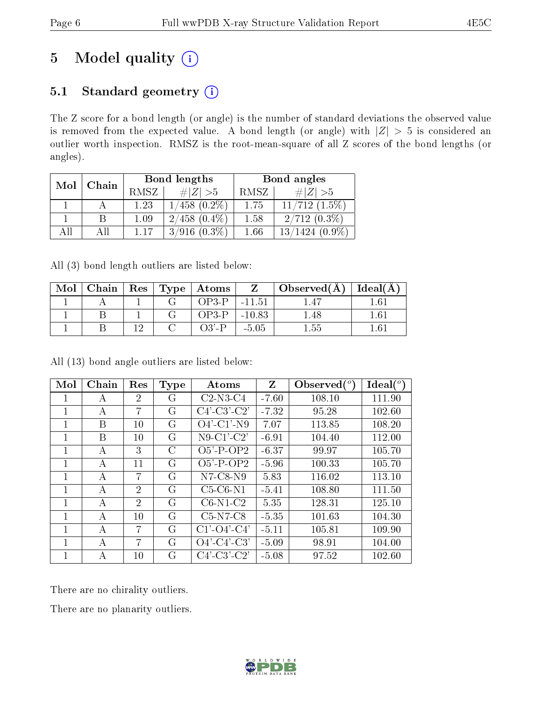# 5 Model quality  $(i)$

### 5.1 Standard geometry (i)

The Z score for a bond length (or angle) is the number of standard deviations the observed value is removed from the expected value. A bond length (or angle) with  $|Z| > 5$  is considered an outlier worth inspection. RMSZ is the root-mean-square of all Z scores of the bond lengths (or angles).

|              |  |      | <b>Bond lengths</b> | Bond angles |                           |  |
|--------------|--|------|---------------------|-------------|---------------------------|--|
| Chain<br>Mol |  | RMSZ | $\# Z  > 5$         | RMSZ        | # $ Z  > 5$               |  |
|              |  | 1.23 | $1/458$ $(0.2\%)$   | 1.75        | $11/712$ $(1.5\%)$        |  |
|              |  | 1.09 | $2/458$ $(0.4\%)$   | 1.58        | $2/712(0.3\%)$            |  |
| ΔH           |  | 1 17 | $3/916$ $(0.3\%)$   | 1.66        | /1424<br>$(0.9\%)$<br>13/ |  |

All (3) bond length outliers are listed below:

| Mol |  | Chain   Res   Type   Atoms |          | Observed(A)    | Ideal(A)        |
|-----|--|----------------------------|----------|----------------|-----------------|
|     |  | OP3-P-                     | $-11.51$ |                | 16 <sub>1</sub> |
|     |  | OP3-P-                     | $-10.83$ | l.48           | 1 61            |
|     |  | $O3'$ -P                   | -5.05    | $^{\circ}$ .55 |                 |

All (13) bond angle outliers are listed below:

| Mol          | Chain | Res            | <b>Type</b> | Atoms                                                 | Z       | Observed $\binom{o}{c}$ | Ideal (°) |
|--------------|-------|----------------|-------------|-------------------------------------------------------|---------|-------------------------|-----------|
| 1            | А     | $\overline{2}$ | G           | $C2-N3-C4$                                            | $-7.60$ | 108.10                  | 111.90    |
| 1            | А     | 7              | G           | $C4$ <sup>-</sup> $C3$ <sup>-</sup> $C2$ <sup>'</sup> | $-7.32$ | 95.28                   | 102.60    |
| $\mathbf{1}$ | B     | 10             | G           | $O4'$ -C1'-N9                                         | 7.07    | 113.85                  | 108.20    |
| 1            | B     | 10             | G           | $N9-C1'-C2'$                                          | $-6.91$ | 104.40                  | 112.00    |
| $\mathbf{1}$ | А     | 3              | C           | $O5'$ -P-OP2                                          | $-6.37$ | 99.97                   | 105.70    |
| $\mathbf{1}$ | А     | 11             | G           | $O5'$ -P-OP2                                          | $-5.96$ | 100.33                  | 105.70    |
| 1            | A     | 7              | G           | $N7$ -C8- $N9$                                        | 5.83    | 116.02                  | 113.10    |
| 1            | А     | 2              | G           | $C5-C6-N1$                                            | $-5.41$ | 108.80                  | 111.50    |
| $\mathbf{1}$ | А     | $\mathfrak{D}$ | G           | $C6-N1-C2$                                            | 5.35    | 128.31                  | 125.10    |
| 1            | А     | 10             | G           | $C5-N7-C8$                                            | $-5.35$ | 101.63                  | 104.30    |
| 1            | А     | 7              | G           | $C1'$ - $O4'$ - $C4'$                                 | $-5.11$ | 105.81                  | 109.90    |
| 1            | А     | 7              | G           | $O4'$ -C4'-C3'                                        | $-5.09$ | 98.91                   | 104.00    |
| 1            | А     | 10             | G           | $C4'$ -C3'-C2'                                        | $-5.08$ | 97.52                   | 102.60    |

There are no chirality outliers.

There are no planarity outliers.

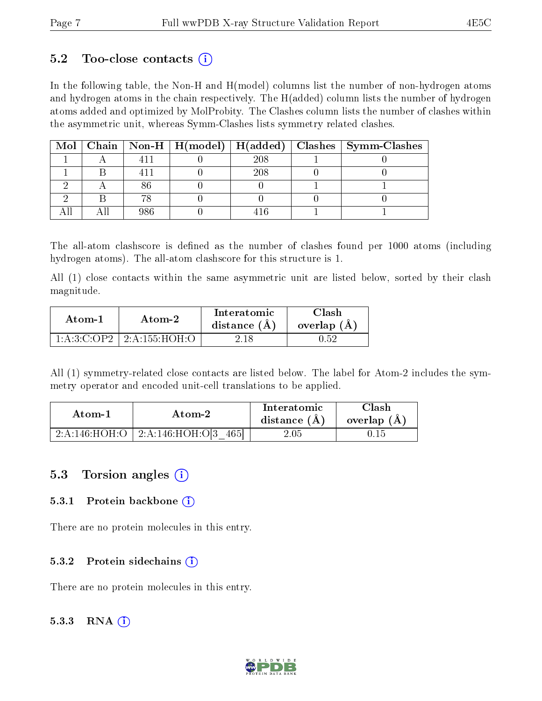#### $5.2$  Too-close contacts  $(i)$

In the following table, the Non-H and H(model) columns list the number of non-hydrogen atoms and hydrogen atoms in the chain respectively. The H(added) column lists the number of hydrogen atoms added and optimized by MolProbity. The Clashes column lists the number of clashes within the asymmetric unit, whereas Symm-Clashes lists symmetry related clashes.

|  |     |     | Mol   Chain   Non-H   H(model)   H(added)   Clashes   Symm-Clashes |
|--|-----|-----|--------------------------------------------------------------------|
|  |     | 208 |                                                                    |
|  |     | 208 |                                                                    |
|  |     |     |                                                                    |
|  |     |     |                                                                    |
|  | റമെ |     |                                                                    |

The all-atom clashscore is defined as the number of clashes found per 1000 atoms (including hydrogen atoms). The all-atom clashscore for this structure is 1.

All (1) close contacts within the same asymmetric unit are listed below, sorted by their clash magnitude.

| Atom-1         | Atom-2       | Interatomic<br>distance $(A)$ | Clash<br>overlap $(A)$ |  |
|----------------|--------------|-------------------------------|------------------------|--|
| 1: A:3: C: OP2 | 12:155:10H:0 | 2 18                          | 0.52                   |  |

All (1) symmetry-related close contacts are listed below. The label for Atom-2 includes the symmetry operator and encoded unit-cell translations to be applied.

| Atom-1                | Atom-2                  | Interatomic<br>distance $(A)$ | Clash<br>overlap $(A)$ |  |
|-----------------------|-------------------------|-------------------------------|------------------------|--|
| $2:A:146:HOH \cdot O$ | 2:A:146:HOH:O[3<br>4651 | $2.05\,$                      |                        |  |

#### 5.3 Torsion angles (i)

#### 5.3.1 Protein backbone  $(i)$

There are no protein molecules in this entry.

#### 5.3.2 Protein sidechains (i)

There are no protein molecules in this entry.

#### 5.3.3 RNA  $(i)$

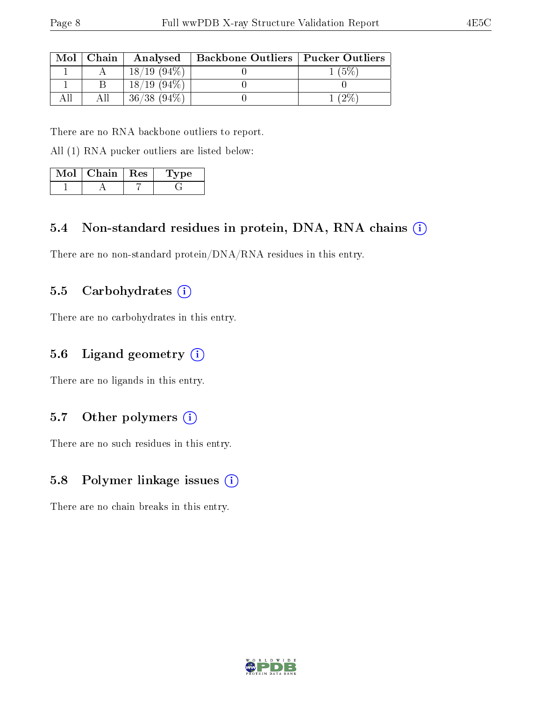| Mol | $\mid$ Chain | Analysed       | Backbone Outliers   Pucker Outliers |       |
|-----|--------------|----------------|-------------------------------------|-------|
|     |              | $18/19(94\%)$  |                                     | $5\%$ |
|     |              | $18/19(94\%)$  |                                     |       |
|     |              | $36/38$ (94\%) |                                     | $2\%$ |

There are no RNA backbone outliers to report.

All (1) RNA pucker outliers are listed below:

| Mol | $\mid$ Chain $\mid$ Res | Type |  |
|-----|-------------------------|------|--|
|     |                         |      |  |

#### 5.4 Non-standard residues in protein, DNA, RNA chains (i)

There are no non-standard protein/DNA/RNA residues in this entry.

#### 5.5 Carbohydrates  $(i)$

There are no carbohydrates in this entry.

#### 5.6 Ligand geometry  $(i)$

There are no ligands in this entry.

#### 5.7 [O](https://www.wwpdb.org/validation/2017/XrayValidationReportHelp#nonstandard_residues_and_ligands)ther polymers  $(i)$

There are no such residues in this entry.

#### 5.8 Polymer linkage issues  $(i)$

There are no chain breaks in this entry.